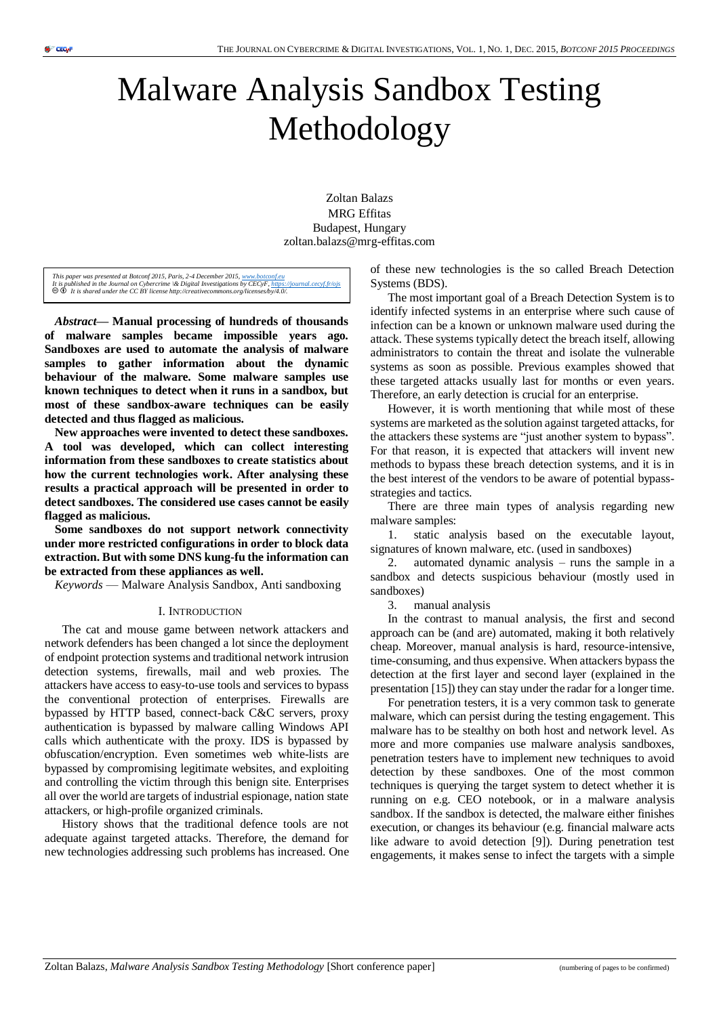# Malware Analysis Sandbox Testing Methodology

Zoltan Balazs MRG Effitas Budapest, Hungary zoltan.balazs@mrg-effitas.com

This paper was presented at Botconf 2015, Paris, 2-4 December 2015, <u>www.botconf.eu</u><br>It is published in the Journal on Cybercrime \& Digital Investigations by CECyF, <u>https://journal.cecyf.fr/ois</u><br>© **©** It is shared under

*Abstract***— Manual processing of hundreds of thousands of malware samples became impossible years ago. Sandboxes are used to automate the analysis of malware samples to gather information about the dynamic behaviour of the malware. Some malware samples use known techniques to detect when it runs in a sandbox, but most of these sandbox-aware techniques can be easily detected and thus flagged as malicious.**

**New approaches were invented to detect these sandboxes. A tool was developed, which can collect interesting information from these sandboxes to create statistics about how the current technologies work. After analysing these results a practical approach will be presented in order to detect sandboxes. The considered use cases cannot be easily flagged as malicious.**

**Some sandboxes do not support network connectivity under more restricted configurations in order to block data extraction. But with some DNS kung-fu the information can be extracted from these appliances as well.**

*Keywords* — Malware Analysis Sandbox, Anti sandboxing

#### I. INTRODUCTION

The cat and mouse game between network attackers and network defenders has been changed a lot since the deployment of endpoint protection systems and traditional network intrusion detection systems, firewalls, mail and web proxies. The attackers have access to easy-to-use tools and services to bypass the conventional protection of enterprises. Firewalls are bypassed by HTTP based, connect-back C&C servers, proxy authentication is bypassed by malware calling Windows API calls which authenticate with the proxy. IDS is bypassed by obfuscation/encryption. Even sometimes web white-lists are bypassed by compromising legitimate websites, and exploiting and controlling the victim through this benign site. Enterprises all over the world are targets of industrial espionage, nation state attackers, or high-profile organized criminals.

History shows that the traditional defence tools are not adequate against targeted attacks. Therefore, the demand for new technologies addressing such problems has increased. One of these new technologies is the so called Breach Detection Systems (BDS).

The most important goal of a Breach Detection System is to identify infected systems in an enterprise where such cause of infection can be a known or unknown malware used during the attack. These systems typically detect the breach itself, allowing administrators to contain the threat and isolate the vulnerable systems as soon as possible. Previous examples showed that these targeted attacks usually last for months or even years. Therefore, an early detection is crucial for an enterprise.

However, it is worth mentioning that while most of these systems are marketed as the solution against targeted attacks, for the attackers these systems are "just another system to bypass". For that reason, it is expected that attackers will invent new methods to bypass these breach detection systems, and it is in the best interest of the vendors to be aware of potential bypassstrategies and tactics.

There are three main types of analysis regarding new malware samples:

1. static analysis based on the executable layout, signatures of known malware, etc. (used in sandboxes)

2. automated dynamic analysis – runs the sample in a sandbox and detects suspicious behaviour (mostly used in sandboxes)

3. manual analysis

In the contrast to manual analysis, the first and second approach can be (and are) automated, making it both relatively cheap. Moreover, manual analysis is hard, resource-intensive, time-consuming, and thus expensive. When attackers bypass the detection at the first layer and second layer (explained in the presentation [15]) they can stay under the radar for a longer time.

For penetration testers, it is a very common task to generate malware, which can persist during the testing engagement. This malware has to be stealthy on both host and network level. As more and more companies use malware analysis sandboxes, penetration testers have to implement new techniques to avoid detection by these sandboxes. One of the most common techniques is querying the target system to detect whether it is running on e.g. CEO notebook, or in a malware analysis sandbox. If the sandbox is detected, the malware either finishes execution, or changes its behaviour (e.g. financial malware acts like adware to avoid detection [9]). During penetration test engagements, it makes sense to infect the targets with a simple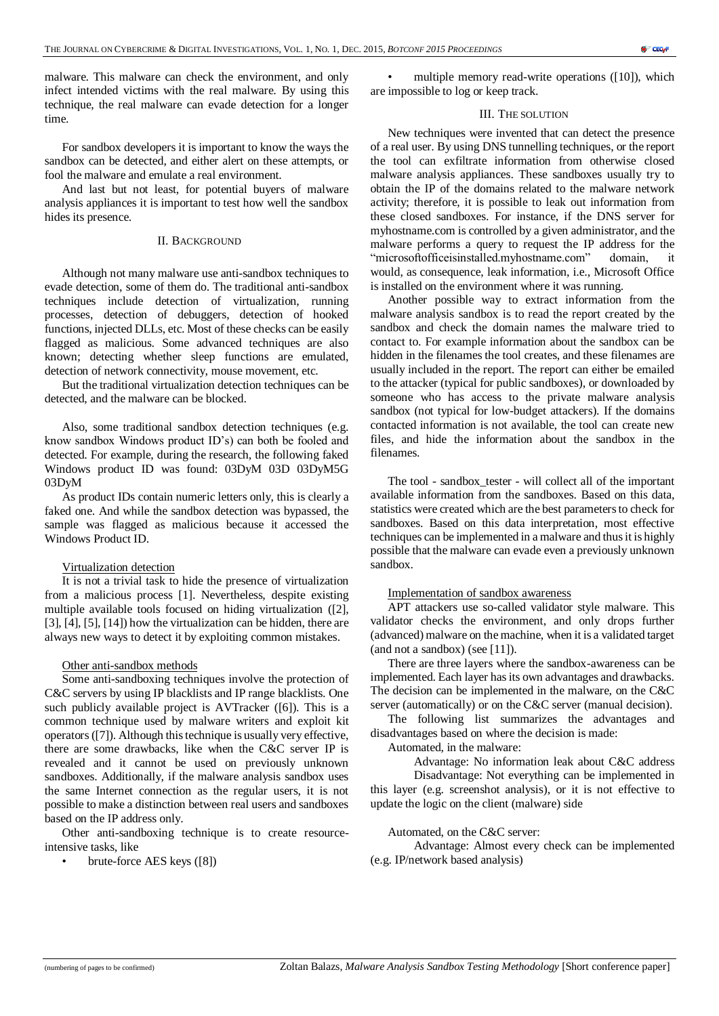malware. This malware can check the environment, and only infect intended victims with the real malware. By using this technique, the real malware can evade detection for a longer time.

For sandbox developers it is important to know the ways the sandbox can be detected, and either alert on these attempts, or fool the malware and emulate a real environment.

And last but not least, for potential buyers of malware analysis appliances it is important to test how well the sandbox hides its presence.

# II. BACKGROUND

Although not many malware use anti-sandbox techniques to evade detection, some of them do. The traditional anti-sandbox techniques include detection of virtualization, running processes, detection of debuggers, detection of hooked functions, injected DLLs, etc. Most of these checks can be easily flagged as malicious. Some advanced techniques are also known; detecting whether sleep functions are emulated, detection of network connectivity, mouse movement, etc.

But the traditional virtualization detection techniques can be detected, and the malware can be blocked.

Also, some traditional sandbox detection techniques (e.g. know sandbox Windows product ID's) can both be fooled and detected. For example, during the research, the following faked Windows product ID was found: 03DyM 03D 03DyM5G 03DyM

As product IDs contain numeric letters only, this is clearly a faked one. And while the sandbox detection was bypassed, the sample was flagged as malicious because it accessed the Windows Product ID.

# Virtualization detection

It is not a trivial task to hide the presence of virtualization from a malicious process [1]. Nevertheless, despite existing multiple available tools focused on hiding virtualization ([2], [3], [4], [5], [14]) how the virtualization can be hidden, there are always new ways to detect it by exploiting common mistakes.

#### Other anti-sandbox methods

Some anti-sandboxing techniques involve the protection of C&C servers by using IP blacklists and IP range blacklists. One such publicly available project is AVTracker ([6]). This is a common technique used by malware writers and exploit kit operators ([7]). Although this technique is usually very effective, there are some drawbacks, like when the C&C server IP is revealed and it cannot be used on previously unknown sandboxes. Additionally, if the malware analysis sandbox uses the same Internet connection as the regular users, it is not possible to make a distinction between real users and sandboxes based on the IP address only.

Other anti-sandboxing technique is to create resourceintensive tasks, like

• brute-force AES keys ([8])

multiple memory read-write operations ([10]), which are impossible to log or keep track.

#### III. THE SOLUTION

New techniques were invented that can detect the presence of a real user. By using DNS tunnelling techniques, or the report the tool can exfiltrate information from otherwise closed malware analysis appliances. These sandboxes usually try to obtain the IP of the domains related to the malware network activity; therefore, it is possible to leak out information from these closed sandboxes. For instance, if the DNS server for myhostname.com is controlled by a given administrator, and the malware performs a query to request the IP address for the "microsoftofficeisinstalled.myhostname.com" domain, it would, as consequence, leak information, i.e., Microsoft Office is installed on the environment where it was running.

Another possible way to extract information from the malware analysis sandbox is to read the report created by the sandbox and check the domain names the malware tried to contact to. For example information about the sandbox can be hidden in the filenames the tool creates, and these filenames are usually included in the report. The report can either be emailed to the attacker (typical for public sandboxes), or downloaded by someone who has access to the private malware analysis sandbox (not typical for low-budget attackers). If the domains contacted information is not available, the tool can create new files, and hide the information about the sandbox in the filenames.

The tool - sandbox tester - will collect all of the important available information from the sandboxes. Based on this data, statistics were created which are the best parameters to check for sandboxes. Based on this data interpretation, most effective techniques can be implemented in a malware and thus it is highly possible that the malware can evade even a previously unknown sandbox.

# Implementation of sandbox awareness

APT attackers use so-called validator style malware. This validator checks the environment, and only drops further (advanced) malware on the machine, when it is a validated target (and not a sandbox) (see [11]).

There are three layers where the sandbox-awareness can be implemented. Each layer has its own advantages and drawbacks. The decision can be implemented in the malware, on the C&C server (automatically) or on the C&C server (manual decision).

The following list summarizes the advantages and disadvantages based on where the decision is made:

Automated, in the malware:

Advantage: No information leak about C&C address

Disadvantage: Not everything can be implemented in this layer (e.g. screenshot analysis), or it is not effective to update the logic on the client (malware) side

#### Automated, on the C&C server:

Advantage: Almost every check can be implemented (e.g. IP/network based analysis)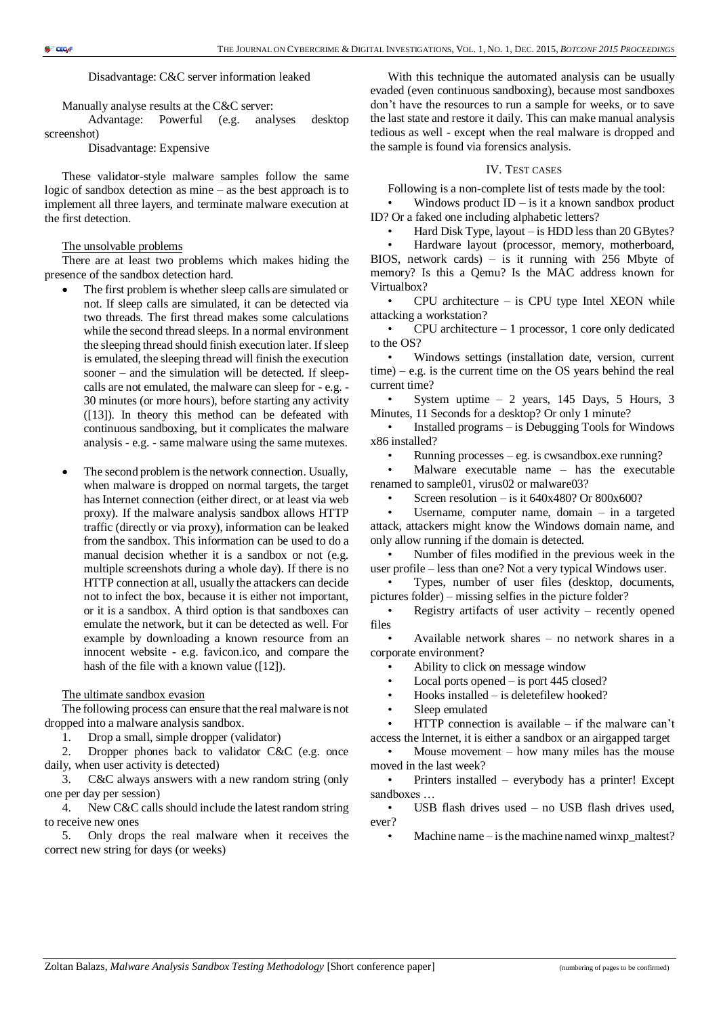Disadvantage: C&C server information leaked

Manually analyse results at the C&C server:

Advantage: Powerful (e.g. analyses desktop screenshot)

Disadvantage: Expensive

These validator-style malware samples follow the same logic of sandbox detection as mine – as the best approach is to implement all three layers, and terminate malware execution at the first detection.

#### The unsolvable problems

There are at least two problems which makes hiding the presence of the sandbox detection hard.

- The first problem is whether sleep calls are simulated or not. If sleep calls are simulated, it can be detected via two threads. The first thread makes some calculations while the second thread sleeps. In a normal environment the sleeping thread should finish execution later. If sleep is emulated, the sleeping thread will finish the execution sooner – and the simulation will be detected. If sleepcalls are not emulated, the malware can sleep for - e.g. - 30 minutes (or more hours), before starting any activity ([13]). In theory this method can be defeated with continuous sandboxing, but it complicates the malware analysis - e.g. - same malware using the same mutexes.
- The second problem is the network connection. Usually, when malware is dropped on normal targets, the target has Internet connection (either direct, or at least via web proxy). If the malware analysis sandbox allows HTTP traffic (directly or via proxy), information can be leaked from the sandbox. This information can be used to do a manual decision whether it is a sandbox or not (e.g. multiple screenshots during a whole day). If there is no HTTP connection at all, usually the attackers can decide not to infect the box, because it is either not important, or it is a sandbox. A third option is that sandboxes can emulate the network, but it can be detected as well. For example by downloading a known resource from an innocent website - e.g. favicon.ico, and compare the hash of the file with a known value ([12]).

#### The ultimate sandbox evasion

The following process can ensure that the real malware is not dropped into a malware analysis sandbox.

1. Drop a small, simple dropper (validator)

2. Dropper phones back to validator C&C (e.g. once daily, when user activity is detected)

3. C&C always answers with a new random string (only one per day per session)

4. New C&C calls should include the latest random string to receive new ones

5. Only drops the real malware when it receives the correct new string for days (or weeks)

With this technique the automated analysis can be usually evaded (even continuous sandboxing), because most sandboxes don't have the resources to run a sample for weeks, or to save the last state and restore it daily. This can make manual analysis tedious as well - except when the real malware is dropped and the sample is found via forensics analysis.

#### IV. TEST CASES

Following is a non-complete list of tests made by the tool:

Windows product  $ID - is$  it a known sandbox product ID? Or a faked one including alphabetic letters?

• Hard Disk Type, layout – is HDD less than 20 GBytes?

• Hardware layout (processor, memory, motherboard, BIOS, network cards) – is it running with 256 Mbyte of memory? Is this a Qemu? Is the MAC address known for Virtualbox?

 $CPU$  architecture – is  $CPU$  type Intel XEON while attacking a workstation?

 $CPU$  architecture  $-1$  processor, 1 core only dedicated to the OS?

• Windows settings (installation date, version, current  $time$ ) – e.g. is the current time on the OS years behind the real current time?

System uptime  $-2$  years, 145 Days, 5 Hours, 3 Minutes, 11 Seconds for a desktop? Or only 1 minute?

• Installed programs – is Debugging Tools for Windows x86 installed?

Running processes – eg. is cwsandbox.exe running?

• Malware executable name – has the executable renamed to sample01, virus02 or malware03?

Screen resolution – is it  $640x480$ ? Or  $800x600$ ?

Username, computer name, domain  $-$  in a targeted attack, attackers might know the Windows domain name, and only allow running if the domain is detected.

• Number of files modified in the previous week in the user profile – less than one? Not a very typical Windows user.

• Types, number of user files (desktop, documents, pictures folder) – missing selfies in the picture folder?

Registry artifacts of user activity – recently opened files

• Available network shares – no network shares in a corporate environment?

- Ability to click on message window
- Local ports opened is port 445 closed?
- Hooks installed  $-$  is deletefilew hooked?

Sleep emulated

 $HTTP$  connection is available – if the malware can't

access the Internet, it is either a sandbox or an airgapped target Mouse movement  $-$  how many miles has the mouse

moved in the last week? • Printers installed – everybody has a printer! Except sandboxes …

• USB flash drives used – no USB flash drives used, ever?

Machine name  $-$  is the machine named winxp\_maltest?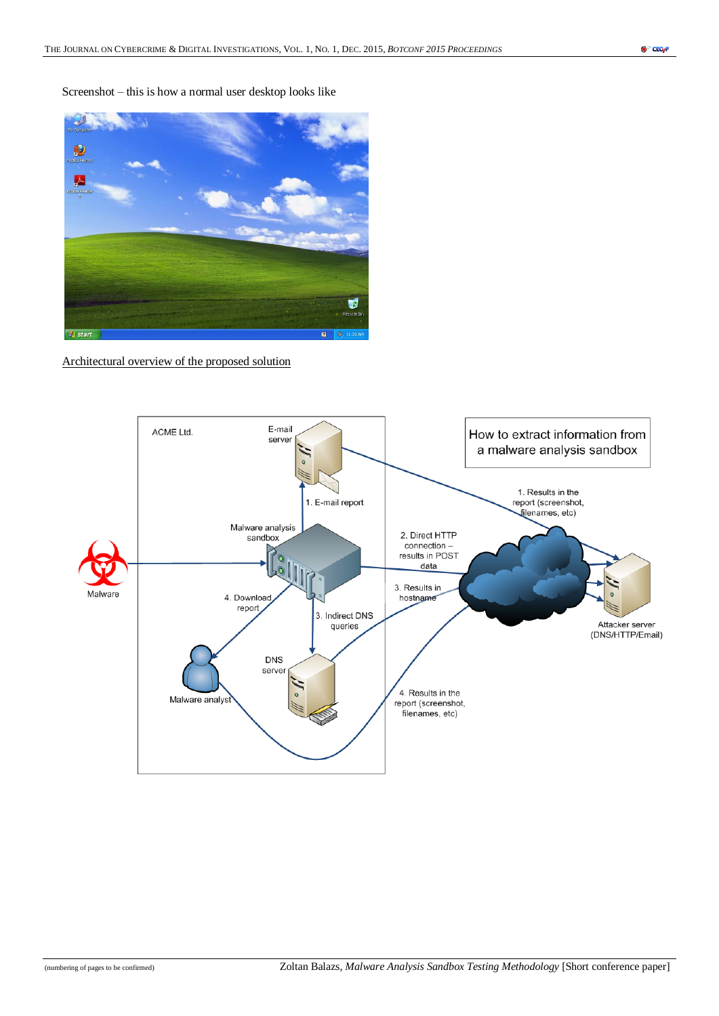Screenshot – this is how a normal user desktop looks like



Architectural overview of the proposed solution